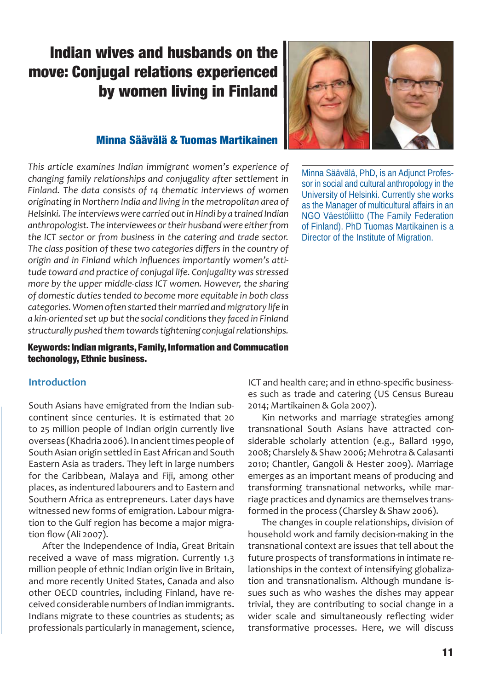## **Indian wives and husbands on the move: Conjugal relations experienced by women living in Finland**

#### **Minna Säävälä & Tuomas Martikainen**

*This article examines Indian immigrant women's experience of changing family relationships and conjugality after settlement in Finland. The data consists of 14 thematic interviews of women originating in Northern India and living in the metropolitan area of Helsinki. The interviews were carried out in Hindi by a trained Indian anthropologist. The interviewees or their husband were either from the ICT sector or from business in the catering and trade sector.*  The class position of these two categories differs in the country of origin and in Finland which influences importantly women's atti*tude toward and practice of conjugal life. Conjugality was stressed more by the upper middle-class ICT women. However, the sharing of domestic duties tended to become more equitable in both class categories. Women often started their married and migratory life in a kin-oriented set up but the social conditions they faced in Finland structurally pushed them towards tightening conjugal relationships.*

**Keywords: Indian migrants, Family, Information and Commucation techonology, Ethnic business.**

#### **Introduction**

South Asians have emigrated from the Indian subcontinent since centuries. It is estimated that 20 to 25 million people of Indian origin currently live overseas (Khadria 2006). In ancient times people of South Asian origin settled in East African and South Eastern Asia as traders. They left in large numbers for the Caribbean, Malaya and Fiji, among other places, as indentured labourers and to Eastern and Southern Africa as entrepreneurs. Later days have witnessed new forms of emigration. Labour migration to the Gulf region has become a major migration flow (Ali 2007).

After the Independence of India, Great Britain received a wave of mass migration. Currently 1.3 million people of ethnic Indian origin live in Britain, and more recently United States, Canada and also other OECD countries, including Finland, have received considerable numbers of Indian immigrants. Indians migrate to these countries as students; as professionals particularly in management, science,



Minna Säävälä, PhD, is an Adjunct Professor in social and cultural anthropology in the University of Helsinki. Currently she works as the Manager of multicultural affairs in an NGO Väestöliitto (The Family Federation of Finland). PhD Tuomas Martikainen is a Director of the Institute of Migration.

ICT and health care; and in ethno-specific businesses such as trade and catering (US Census Bureau 2014; Martikainen & Gola 2007).

Kin networks and marriage strategies among transnational South Asians have attracted considerable scholarly attention (e.g., Ballard 1990, 2008; Charslely & Shaw 2006; Mehrotra & Calasanti 2010; Chantler, Gangoli & Hester 2009). Marriage emerges as an important means of producing and transforming transnational networks, while marriage practices and dynamics are themselves transformed in the process (Charsley & Shaw 2006).

The changes in couple relationships, division of household work and family decision-making in the transnational context are issues that tell about the future prospects of transformations in intimate relationships in the context of intensifying globalization and transnationalism. Although mundane issues such as who washes the dishes may appear trivial, they are contributing to social change in a wider scale and simultaneously reflecting wider transformative processes. Here, we will discuss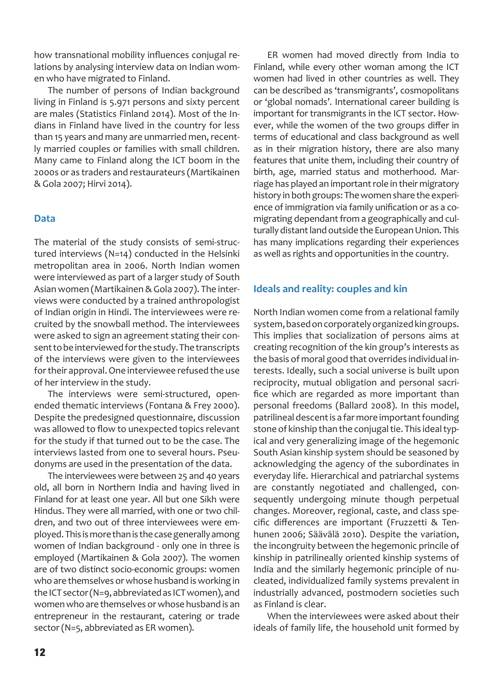how transnational mobility influences conjugal relations by analysing interview data on Indian women who have migrated to Finland.

The number of persons of Indian background living in Finland is 5.971 persons and sixty percent are males (Statistics Finland 2014). Most of the Indians in Finland have lived in the country for less than 15 years and many are unmarried men, recently married couples or families with small children. Many came to Finland along the ICT boom in the 2000s or as traders and restaurateurs (Martikainen & Gola 2007; Hirvi 2014).

#### **Data**

The material of the study consists of semi-structured interviews (N=14) conducted in the Helsinki metropolitan area in 2006. North Indian women were interviewed as part of a larger study of South Asian women (Martikainen & Gola 2007). The interviews were conducted by a trained anthropologist of Indian origin in Hindi. The interviewees were recruited by the snowball method. The interviewees were asked to sign an agreement stating their consent to be interviewed for the study. The transcripts of the interviews were given to the interviewees for their approval. One interviewee refused the use of her interview in the study.

The interviews were semi-structured, openended thematic interviews (Fontana & Frey 2000). Despite the predesigned questionnaire, discussion was allowed to flow to unexpected topics relevant for the study if that turned out to be the case. The interviews lasted from one to several hours. Pseudonyms are used in the presentation of the data.

The interviewees were between 25 and 40 years old, all born in Northern India and having lived in Finland for at least one year. All but one Sikh were Hindus. They were all married, with one or two children, and two out of three interviewees were employed. This is more than is the case generally among women of Indian background - only one in three is employed (Martikainen & Gola 2007). The women are of two distinct socio-economic groups: women who are themselves or whose husband is working in the ICT sector (N=9, abbreviated as ICT women), and women who are themselves or whose husband is an entrepreneur in the restaurant, catering or trade sector (N=5, abbreviated as ER women).

ER women had moved directly from India to Finland, while every other woman among the ICT women had lived in other countries as well. They can be described as 'transmigrants', cosmopolitans or 'global nomads'. International career building is important for transmigrants in the ICT sector. However, while the women of the two groups differ in terms of educational and class background as well as in their migration history, there are also many features that unite them, including their country of birth, age, married status and motherhood. Marriage has played an important role in their migratory history in both groups: The women share the experience of immigration via family unification or as a comigrating dependant from a geographically and culturally distant land outside the European Union. This has many implications regarding their experiences as well as rights and opportunities in the country.

#### **Ideals and reality: couples and kin**

North Indian women come from a relational family system, based on corporately organized kin groups. This implies that socialization of persons aims at creating recognition of the kin group's interests as the basis of moral good that overrides individual interests. Ideally, such a social universe is built upon reciprocity, mutual obligation and personal sacrifice which are regarded as more important than personal freedoms (Ballard 2008). In this model, patrilineal descent is a far more important founding stone of kinship than the conjugal tie. This ideal typical and very generalizing image of the hegemonic South Asian kinship system should be seasoned by acknowledging the agency of the subordinates in everyday life. Hierarchical and patriarchal systems are constantly negotiated and challenged, consequently undergoing minute though perpetual changes. Moreover, regional, caste, and class specific differences are important (Fruzzetti & Tenhunen 2006; Säävälä 2010). Despite the variation, the incongruity between the hegemonic princile of kinship in patrilineally oriented kinship systems of India and the similarly hegemonic principle of nucleated, individualized family systems prevalent in industrially advanced, postmodern societies such as Finland is clear.

When the interviewees were asked about their ideals of family life, the household unit formed by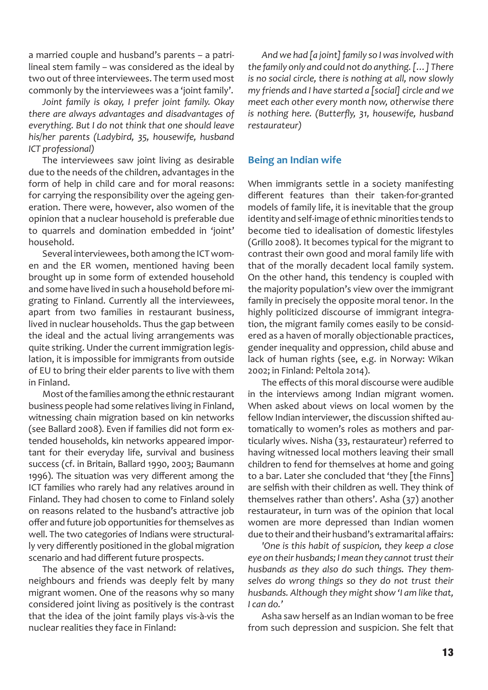a married couple and husband's parents – a patrilineal stem family – was considered as the ideal by two out of three interviewees. The term used most commonly by the interviewees was a 'joint family'.

*Joint family is okay, I prefer joint family. Okay there are always advantages and disadvantages of everything. But I do not think that one should leave his/her parents (Ladybird, 35, housewife, husband ICT professional)*

The interviewees saw joint living as desirable due to the needs of the children, advantages in the form of help in child care and for moral reasons: for carrying the responsibility over the ageing generation. There were, however, also women of the opinion that a nuclear household is preferable due to quarrels and domination embedded in 'joint' household.

Several interviewees, both among the ICT women and the ER women, mentioned having been brought up in some form of extended household and some have lived in such a household before migrating to Finland. Currently all the interviewees, apart from two families in restaurant business, lived in nuclear households. Thus the gap between the ideal and the actual living arrangements was quite striking. Under the current immigration legislation, it is impossible for immigrants from outside of EU to bring their elder parents to live with them in Finland.

Most of the families among the ethnic restaurant business people had some relatives living in Finland, witnessing chain migration based on kin networks (see Ballard 2008). Even if families did not form extended households, kin networks appeared important for their everyday life, survival and business success (cf. in Britain, Ballard 1990, 2003; Baumann 1996). The situation was very different among the ICT families who rarely had any relatives around in Finland. They had chosen to come to Finland solely on reasons related to the husband's attractive job offer and future job opportunities for themselves as well. The two categories of Indians were structurally very differently positioned in the global migration scenario and had different future prospects.

The absence of the vast network of relatives, neighbours and friends was deeply felt by many migrant women. One of the reasons why so many considered joint living as positively is the contrast that the idea of the joint family plays vis-à-vis the nuclear realities they face in Finland:

*And we had [a joint] family so I was involved with the family only and could not do anything. […] There is no social circle, there is nothing at all, now slowly my friends and I have started a [social] circle and we meet each other every month now, otherwise there*  is nothing here. (Butterfly, 31, housewife, husband *restaurateur)*

#### **Being an Indian wife**

When immigrants settle in a society manifesting different features than their taken-for-granted models of family life, it is inevitable that the group identity and self-image of ethnic minorities tends to become tied to idealisation of domestic lifestyles (Grillo 2008). It becomes typical for the migrant to contrast their own good and moral family life with that of the morally decadent local family system. On the other hand, this tendency is coupled with the majority population's view over the immigrant family in precisely the opposite moral tenor. In the highly politicized discourse of immigrant integration, the migrant family comes easily to be considered as a haven of morally objectionable practices, gender inequality and oppression, child abuse and lack of human rights (see, e.g. in Norway: Wikan 2002; in Finland: Peltola 2014).

The effects of this moral discourse were audible in the interviews among Indian migrant women. When asked about views on local women by the fellow Indian interviewer, the discussion shifted automatically to women's roles as mothers and particularly wives. Nisha (33, restaurateur) referred to having witnessed local mothers leaving their small children to fend for themselves at home and going to a bar. Later she concluded that 'they [the Finns] are selfish with their children as well. They think of themselves rather than others'. Asha (37) another restaurateur, in turn was of the opinion that local women are more depressed than Indian women due to their and their husband's extramarital affairs:

*'One is this habit of suspicion, they keep a close eye on their husbands; I mean they cannot trust their husbands as they also do such things. They themselves do wrong things so they do not trust their husbands. Although they might show 'I am like that, I can do.'* 

Asha saw herself as an Indian woman to be free from such depression and suspicion. She felt that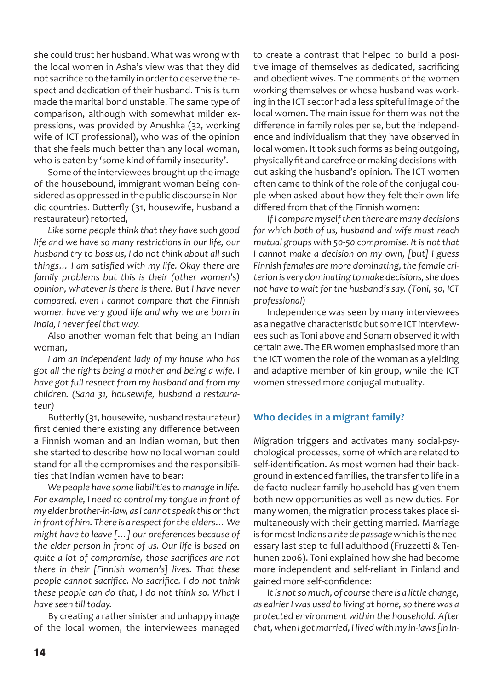she could trust her husband. What was wrong with the local women in Asha's view was that they did not sacrifice to the family in order to deserve the respect and dedication of their husband. This is turn made the marital bond unstable. The same type of comparison, although with somewhat milder expressions, was provided by Anushka (32, working wife of ICT professional), who was of the opinion that she feels much better than any local woman, who is eaten by 'some kind of family-insecurity'.

Some of the interviewees brought up the image of the housebound, immigrant woman being considered as oppressed in the public discourse in Nordic countries. Butterfly (31, housewife, husband a restaurateur) retorted,

*Like some people think that they have such good life and we have so many restrictions in our life, our husband try to boss us, I do not think about all such*  things... I am satisfied with my life. Okay there are *family problems but this is their (other women's) opinion, whatever is there is there. But I have never compared, even I cannot compare that the Finnish women have very good life and why we are born in India, I never feel that way.* 

Also another woman felt that being an Indian woman,

*I am an independent lady of my house who has got all the rights being a mother and being a wife. I have got full respect from my husband and from my children. (Sana 31, housewife, husband a restaurateur)*

Butterfly (31, housewife, husband restaurateur) first denied there existing any difference between a Finnish woman and an Indian woman, but then she started to describe how no local woman could stand for all the compromises and the responsibilities that Indian women have to bear:

*We people have some liabilities to manage in life. For example, I need to control my tongue in front of my elder brother-in-law, as I cannot speak this or that in front of him. There is a respect for the elders… We might have to leave […] our preferences because of the elder person in front of us. Our life is based on quite a lot of compromise, those sacrifices are not there in their [Finnish women's] lives. That these people cannot sacrifice. No sacrifice. I do not think these people can do that, I do not think so. What I have seen till today.* 

By creating a rather sinister and unhappy image of the local women, the interviewees managed

to create a contrast that helped to build a positive image of themselves as dedicated, sacrificing and obedient wives. The comments of the women working themselves or whose husband was working in the ICT sector had a less spiteful image of the local women. The main issue for them was not the difference in family roles per se, but the independence and individualism that they have observed in local women. It took such forms as being outgoing, physically fit and carefree or making decisions without asking the husband's opinion. The ICT women often came to think of the role of the conjugal couple when asked about how they felt their own life differed from that of the Finnish women:

*If I compare myself then there are many decisions for which both of us, husband and wife must reach mutual groups with 50-50 compromise. It is not that I cannot make a decision on my own, [but] I guess Finnish females are more dominating, the female criterion is very dominating to make decisions, she does not have to wait for the husband's say. (Toni, 30, ICT professional)*

Independence was seen by many interviewees as a negative characteristic but some ICT interviewees such as Toni above and Sonam observed it with certain awe. The ER women emphasised more than the ICT women the role of the woman as a yielding and adaptive member of kin group, while the ICT women stressed more conjugal mutuality.

#### **Who decides in a migrant family?**

Migration triggers and activates many social-psychological processes, some of which are related to self-identification. As most women had their background in extended families, the transfer to life in a de facto nuclear family household has given them both new opportunities as well as new duties. For many women, the migration process takes place simultaneously with their getting married. Marriage is for most Indians a *rite de passage* which is the necessary last step to full adulthood (Fruzzetti & Tenhunen 2006). Toni explained how she had become more independent and self-reliant in Finland and gained more self-confidence:

*It is not so much, of course there is a little change, as ealrier I was used to living at home, so there was a protected environment within the household. After that, when I got married, I lived with my in-laws [in In-*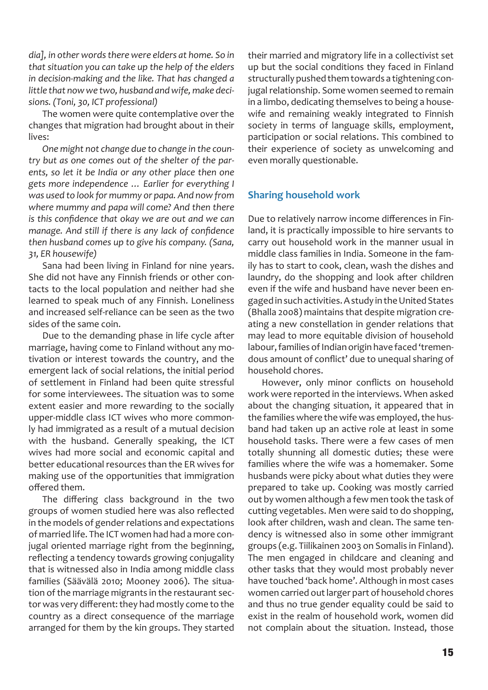*dia], in other words there were elders at home. So in that situation you can take up the help of the elders in decision-making and the like. That has changed a little that now we two, husband and wife, make decisions. (Toni, 30, ICT professional)* 

The women were quite contemplative over the changes that migration had brought about in their lives:

*One might not change due to change in the country but as one comes out of the shelter of the parents, so let it be India or any other place then one gets more independence … Earlier for everything I was used to look for mummy or papa. And now from where mummy and papa will come? And then there is this confidence that okay we are out and we can manage. And still if there is any lack of confidence then husband comes up to give his company. (Sana, 31, ER housewife)*

Sana had been living in Finland for nine years. She did not have any Finnish friends or other contacts to the local population and neither had she learned to speak much of any Finnish. Loneliness and increased self-reliance can be seen as the two sides of the same coin.

Due to the demanding phase in life cycle after marriage, having come to Finland without any motivation or interest towards the country, and the emergent lack of social relations, the initial period of settlement in Finland had been quite stressful for some interviewees. The situation was to some extent easier and more rewarding to the socially upper-middle class ICT wives who more commonly had immigrated as a result of a mutual decision with the husband. Generally speaking, the ICT wives had more social and economic capital and better educational resources than the ER wives for making use of the opportunities that immigration offered them.

The differing class background in the two groups of women studied here was also reflected in the models of gender relations and expectations of married life. The ICT women had had a more conjugal oriented marriage right from the beginning, reflecting a tendency towards growing conjugality that is witnessed also in India among middle class families (Säävälä 2010; Mooney 2006). The situation of the marriage migrants in the restaurant sector was very different: they had mostly come to the country as a direct consequence of the marriage arranged for them by the kin groups. They started

their married and migratory life in a collectivist set up but the social conditions they faced in Finland structurally pushed them towards a tightening conjugal relationship. Some women seemed to remain in a limbo, dedicating themselves to being a housewife and remaining weakly integrated to Finnish society in terms of language skills, employment, participation or social relations. This combined to their experience of society as unwelcoming and even morally questionable.

#### **Sharing household work**

Due to relatively narrow income differences in Finland, it is practically impossible to hire servants to carry out household work in the manner usual in middle class families in India. Someone in the family has to start to cook, clean, wash the dishes and laundry, do the shopping and look after children even if the wife and husband have never been engaged in such activities. A study in the United States (Bhalla 2008) maintains that despite migration creating a new constellation in gender relations that may lead to more equitable division of household labour, families of Indian origin have faced 'tremendous amount of conflict' due to unequal sharing of household chores.

However, only minor conflicts on household work were reported in the interviews. When asked about the changing situation, it appeared that in the families where the wife was employed, the husband had taken up an active role at least in some household tasks. There were a few cases of men totally shunning all domestic duties; these were families where the wife was a homemaker. Some husbands were picky about what duties they were prepared to take up. Cooking was mostly carried out by women although a few men took the task of cutting vegetables. Men were said to do shopping, look after children, wash and clean. The same tendency is witnessed also in some other immigrant groups (e.g. Tiilikainen 2003 on Somalis in Finland). The men engaged in childcare and cleaning and other tasks that they would most probably never have touched 'back home'. Although in most cases women carried out larger part of household chores and thus no true gender equality could be said to exist in the realm of household work, women did not complain about the situation. Instead, those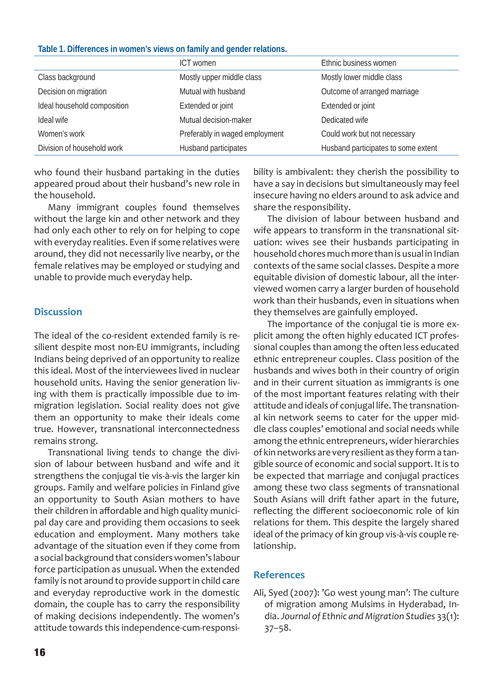#### **Table 1. Differences in women's views on family and gender relations.**

|                             | ICT women                      | Ethnic business women               |
|-----------------------------|--------------------------------|-------------------------------------|
| Class background            | Mostly upper middle class      | Mostly lower middle class           |
| Decision on migration       | Mutual with husband            | Outcome of arranged marriage        |
| Ideal household composition | Extended or joint              | Extended or joint                   |
| Ideal wife                  | Mutual decision-maker          | Dedicated wife                      |
| Women's work                | Preferably in waged employment | Could work but not necessary        |
| Division of household work  | Husband participates           | Husband participates to some extent |

who found their husband partaking in the duties appeared proud about their husband's new role in the household.

Many immigrant couples found themselves without the large kin and other network and they had only each other to rely on for helping to cope with everyday realities. Even if some relatives were around, they did not necessarily live nearby, or the female relatives may be employed or studying and unable to provide much everyday help.

#### **Discussion**

The ideal of the co-resident extended family is resilient despite most non-EU immigrants, including Indians being deprived of an opportunity to realize this ideal. Most of the interviewees lived in nuclear household units. Having the senior generation living with them is practically impossible due to immigration legislation. Social reality does not give them an opportunity to make their ideals come true. However, transnational interconnectedness remains strong.

Transnational living tends to change the division of labour between husband and wife and it strengthens the conjugal tie vis-à-vis the larger kin groups. Family and welfare policies in Finland give an opportunity to South Asian mothers to have their children in affordable and high quality municipal day care and providing them occasions to seek education and employment. Many mothers take advantage of the situation even if they come from a social background that considers women's labour force participation as unusual. When the extended family is not around to provide support in child care and everyday reproductive work in the domestic domain, the couple has to carry the responsibility of making decisions independently. The women's attitude towards this independence-cum-responsibility is ambivalent: they cherish the possibility to have a say in decisions but simultaneously may feel insecure having no elders around to ask advice and share the responsibility.

The division of labour between husband and wife appears to transform in the transnational situation: wives see their husbands participating in household chores much more than is usual in Indian contexts of the same social classes. Despite a more equitable division of domestic labour, all the interviewed women carry a larger burden of household work than their husbands, even in situations when they themselves are gainfully employed.

The importance of the conjugal tie is more explicit among the often highly educated ICT professional couples than among the often less educated ethnic entrepreneur couples. Class position of the husbands and wives both in their country of origin and in their current situation as immigrants is one of the most important features relating with their attitude and ideals of conjugal life. The transnational kin network seems to cater for the upper middle class couples' emotional and social needs while among the ethnic entrepreneurs, wider hierarchies of kin networks are very resilient as they form a tangible source of economic and social support. It is to be expected that marriage and conjugal practices among these two class segments of transnational South Asians will drift father apart in the future, reflecting the different socioeconomic role of kin relations for them. This despite the largely shared ideal of the primacy of kin group vis-à-vis couple relationship.

### **References**

Ali, Syed (2007): 'Go west young man': The culture of migration among Mulsims in Hyderabad, India. *Journal of Ethnic and Migration Studies* 33(1): 37–58.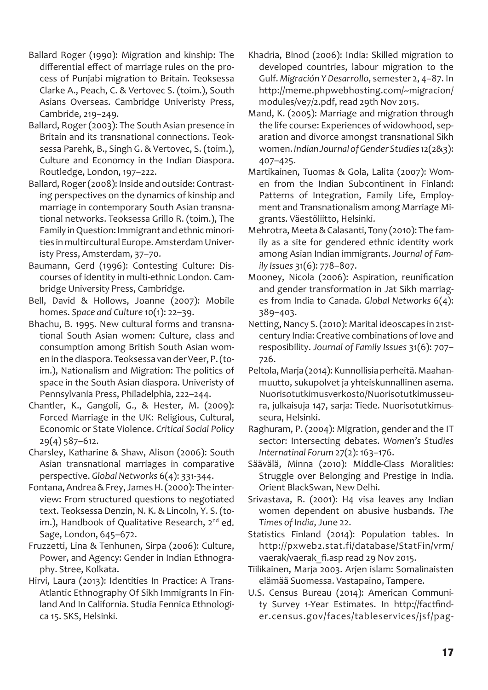- Ballard Roger (1990): Migration and kinship: The differential effect of marriage rules on the process of Punjabi migration to Britain. Teoksessa Clarke A., Peach, C. & Vertovec S. (toim.), South Asians Overseas. Cambridge Univeristy Press, Cambride, 219–249.
- Ballard, Roger (2003): The South Asian presence in Britain and its transnational connections. Teoksessa Parehk, B., Singh G. & Vertovec, S. (toim.), Culture and Economcy in the Indian Diaspora. Routledge, London, 197–222.
- Ballard, Roger (2008): Inside and outside: Contrasting perspectives on the dynamics of kinship and marriage in contemporary South Asian transnational networks. Teoksessa Grillo R. (toim.), The Family in Question: Immigrant and ethnic minorities in multircultural Europe. Amsterdam Univeristy Press, Amsterdam, 37–70.
- Baumann, Gerd (1996): Contesting Culture: Discourses of identity in multi-ethnic London. Cambridge University Press, Cambridge.
- Bell, David & Hollows, Joanne (2007): Mobile homes. *Space and Culture* 10(1): 22–39.
- Bhachu, B. 1995. New cultural forms and transnational South Asian women: Culture, class and consumption among British South Asian women in the diaspora. Teoksessa van der Veer, P. (toim.), Nationalism and Migration: The politics of space in the South Asian diaspora. Univeristy of Pennsylvania Press, Philadelphia, 222–244.
- Chantler, K., Gangoli, G., & Hester, M. (2009): Forced Marriage in the UK: Religious, Cultural, Economic or State Violence. *Critical Social Policy* 29(4) 587–612.
- Charsley, Katharine & Shaw, Alison (2006): South Asian transnational marriages in comparative perspective. *Global Networks* 6(4): 331-344.
- Fontana, Andrea & Frey, James H. (2000): The interview: From structured questions to negotiated text. Teoksessa Denzin, N. K. & Lincoln, Y. S. (toim.), Handbook of Qualitative Research, 2<sup>nd</sup> ed. Sage, London, 645–672.
- Fruzzetti, Lina & Tenhunen, Sirpa (2006): Culture, Power, and Agency: Gender in Indian Ethnography. Stree, Kolkata.
- Hirvi, Laura (2013): Identities In Practice: A Trans-Atlantic Ethnography Of Sikh Immigrants In Finland And In California. Studia Fennica Ethnologica 15. SKS, Helsinki.
- Khadria, Binod (2006): India: Skilled migration to developed countries, labour migration to the Gulf. *Migración Y Desarrollo*, semester 2, 4–87. In http://meme.phpwebhosting.com/~migracion/ modules/ve7/2.pdf, read 29th Nov 2015.
- Mand, K. (2005): Marriage and migration through the life course: Experiences of widowhood, separation and divorce amongst transnational Sikh women. *Indian Journal of Gender Studies* 12(2&3): 407–425.
- Martikainen, Tuomas & Gola, Lalita (2007): Women from the Indian Subcontinent in Finland: Patterns of Integration, Family Life, Employment and Transnationalism among Marriage Migrants. Väestöliitto, Helsinki.
- Mehrotra, Meeta & Calasanti, Tony (2010): The family as a site for gendered ethnic identity work among Asian Indian immigrants. *Journal of Family Issues* 31(6): 778–807.
- Mooney, Nicola (2006): Aspiration, reunification and gender transformation in Jat Sikh marriages from India to Canada. *Global Networks* 6(4): 389–403.
- Netting, Nancy S. (2010): Marital ideoscapes in 21stcentury India: Creative combinations of love and resposibility. *Journal of Family Issues* 31(6): 707– 726.
- Peltola, Marja (2014): Kunnollisia perheitä. Maahanmuutto, sukupolvet ja yhteiskunnallinen asema. Nuorisotutkimusverkosto/Nuorisotutkimusseura, julkaisuja 147, sarja: Tiede. Nuorisotutkimusseura, Helsinki.
- Raghuram, P. (2004): Migration, gender and the IT sector: Intersecting debates. *Women's Studies Internatinal Forum* 27(2): 163–176.
- Säävälä, Minna (2010): Middle-Class Moralities: Struggle over Belonging and Prestige in India. Orient BlackSwan, New Delhi.
- Srivastava, R. (2001): H4 visa leaves any Indian women dependent on abusive husbands. *The Times of India*, June 22.
- Statistics Finland (2014): Population tables. In http://pxweb2.stat.fi/database/StatFin/vrm/ vaerak/vaerak fi.asp read 29 Nov 2015.
- Tiilikainen, Marja 2003. Arjen islam: Somalinaisten elämää Suomessa. Vastapaino, Tampere.
- U.S. Census Bureau (2014): American Community Survey 1-Year Estimates. In http://factfinder.census.gov/faces/tableservices/jsf/pag-